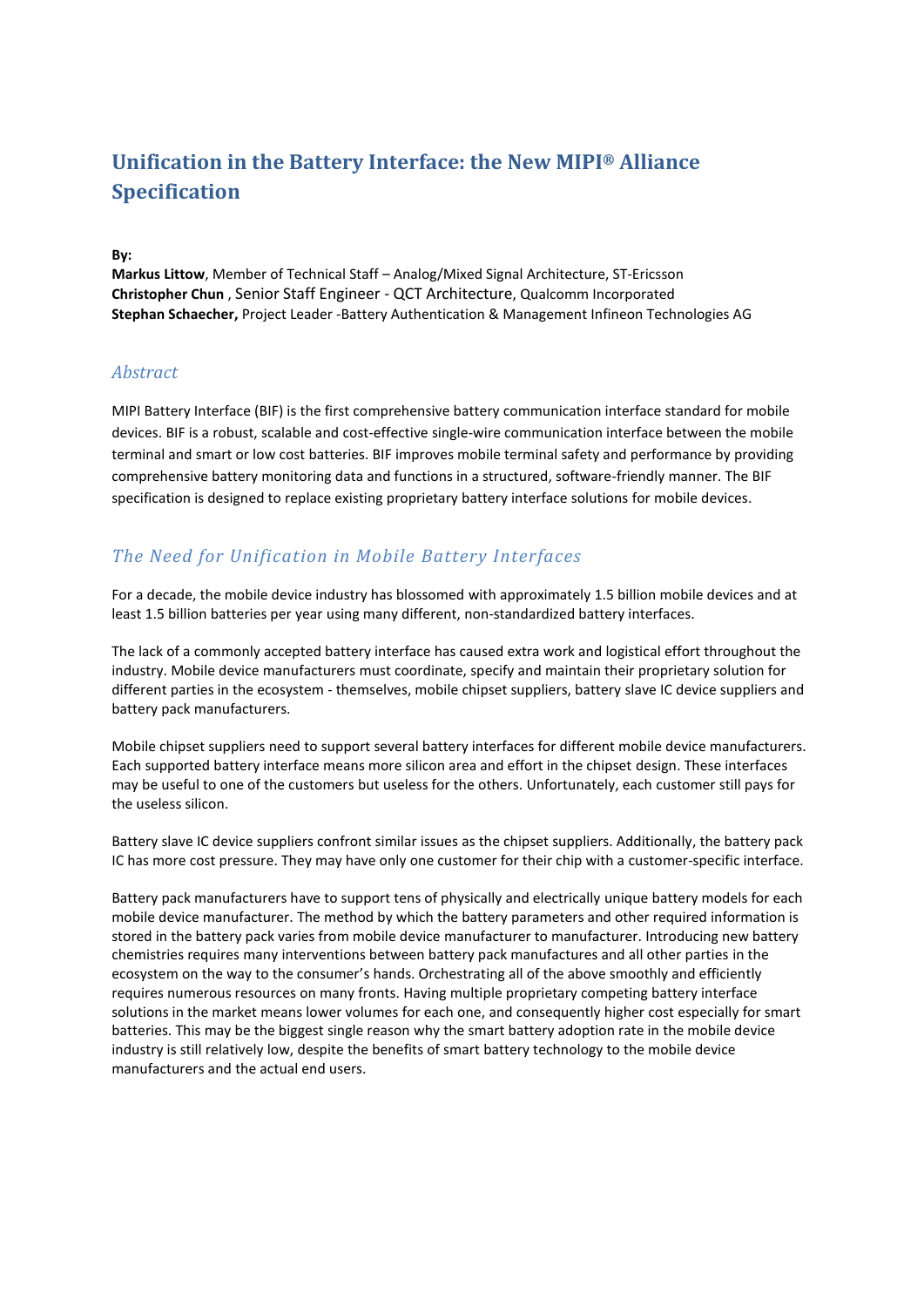# **Unification in the Battery Interface: the New MIPI® Alliance Specification**

**By:**

**Markus Littow**, Member of Technical Staff – Analog/Mixed Signal Architecture, ST-Ericsson **Christopher Chun** , Senior Staff Engineer - QCT Architecture, Qualcomm Incorporated **Stephan Schaecher,** Project Leader -Battery Authentication & Management Infineon Technologies AG

### *Abstract*

MIPI Battery Interface (BIF) is the first comprehensive battery communication interface standard for mobile devices. BIF is a robust, scalable and cost-effective single-wire communication interface between the mobile terminal and smart or low cost batteries. BIF improves mobile terminal safety and performance by providing comprehensive battery monitoring data and functions in a structured, software-friendly manner. The BIF specification is designed to replace existing proprietary battery interface solutions for mobile devices.

## *The Need for Unification in Mobile Battery Interfaces*

For a decade, the mobile device industry has blossomed with approximately 1.5 billion mobile devices and at least 1.5 billion batteries per year using many different, non-standardized battery interfaces.

The lack of a commonly accepted battery interface has caused extra work and logistical effort throughout the industry. Mobile device manufacturers must coordinate, specify and maintain their proprietary solution for different parties in the ecosystem - themselves, mobile chipset suppliers, battery slave IC device suppliers and battery pack manufacturers.

Mobile chipset suppliers need to support several battery interfaces for different mobile device manufacturers. Each supported battery interface means more silicon area and effort in the chipset design. These interfaces may be useful to one of the customers but useless for the others. Unfortunately, each customer still pays for the useless silicon.

Battery slave IC device suppliers confront similar issues as the chipset suppliers. Additionally, the battery pack IC has more cost pressure. They may have only one customer for their chip with a customer-specific interface.

Battery pack manufacturers have to support tens of physically and electrically unique battery models for each mobile device manufacturer. The method by which the battery parameters and other required information is stored in the battery pack varies from mobile device manufacturer to manufacturer. Introducing new battery chemistries requires many interventions between battery pack manufactures and all other parties in the ecosystem on the way to the consumer's hands. Orchestrating all of the above smoothly and efficiently requires numerous resources on many fronts. Having multiple proprietary competing battery interface solutions in the market means lower volumes for each one, and consequently higher cost especially for smart batteries. This may be the biggest single reason why the smart battery adoption rate in the mobile device industry is still relatively low, despite the benefits of smart battery technology to the mobile device manufacturers and the actual end users.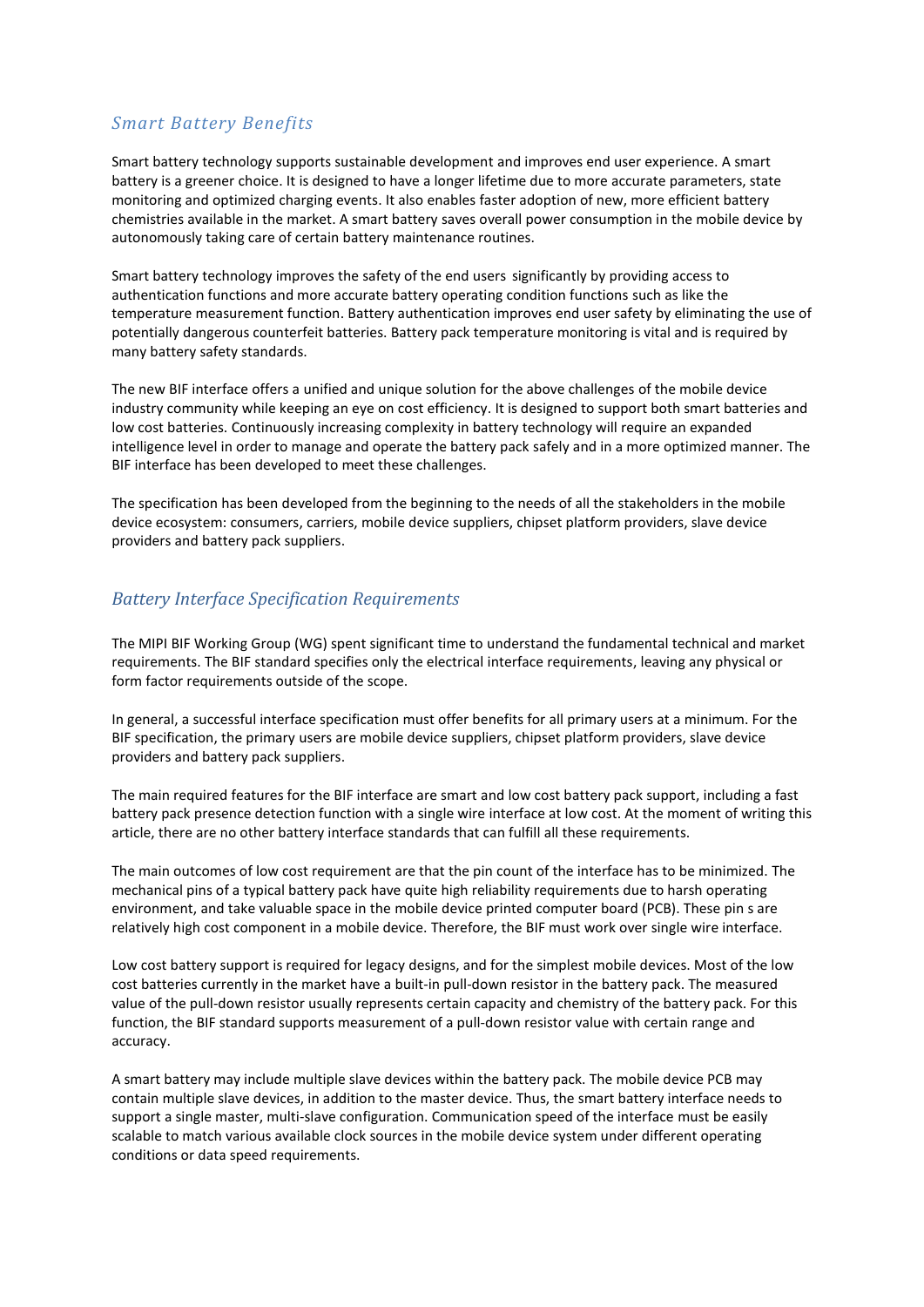## *Smart Battery Benefits*

Smart battery technology supports sustainable development and improves end user experience. A smart battery is a greener choice. It is designed to have a longer lifetime due to more accurate parameters, state monitoring and optimized charging events. It also enables faster adoption of new, more efficient battery chemistries available in the market. A smart battery saves overall power consumption in the mobile device by autonomously taking care of certain battery maintenance routines.

Smart battery technology improves the safety of the end users significantly by providing access to authentication functions and more accurate battery operating condition functions such as like the temperature measurement function. Battery authentication improves end user safety by eliminating the use of potentially dangerous counterfeit batteries. Battery pack temperature monitoring is vital and is required by many battery safety standards.

The new BIF interface offers a unified and unique solution for the above challenges of the mobile device industry community while keeping an eye on cost efficiency. It is designed to support both smart batteries and low cost batteries. Continuously increasing complexity in battery technology will require an expanded intelligence level in order to manage and operate the battery pack safely and in a more optimized manner. The BIF interface has been developed to meet these challenges.

The specification has been developed from the beginning to the needs of all the stakeholders in the mobile device ecosystem: consumers, carriers, mobile device suppliers, chipset platform providers, slave device providers and battery pack suppliers.

## *Battery Interface Specification Requirements*

The MIPI BIF Working Group (WG) spent significant time to understand the fundamental technical and market requirements. The BIF standard specifies only the electrical interface requirements, leaving any physical or form factor requirements outside of the scope.

In general, a successful interface specification must offer benefits for all primary users at a minimum. For the BIF specification, the primary users are mobile device suppliers, chipset platform providers, slave device providers and battery pack suppliers.

The main required features for the BIF interface are smart and low cost battery pack support, including a fast battery pack presence detection function with a single wire interface at low cost. At the moment of writing this article, there are no other battery interface standards that can fulfill all these requirements.

The main outcomes of low cost requirement are that the pin count of the interface has to be minimized. The mechanical pins of a typical battery pack have quite high reliability requirements due to harsh operating environment, and take valuable space in the mobile device printed computer board (PCB). These pin s are relatively high cost component in a mobile device. Therefore, the BIF must work over single wire interface.

Low cost battery support is required for legacy designs, and for the simplest mobile devices. Most of the low cost batteries currently in the market have a built-in pull-down resistor in the battery pack. The measured value of the pull-down resistor usually represents certain capacity and chemistry of the battery pack. For this function, the BIF standard supports measurement of a pull-down resistor value with certain range and accuracy.

A smart battery may include multiple slave devices within the battery pack. The mobile device PCB may contain multiple slave devices, in addition to the master device. Thus, the smart battery interface needs to support a single master, multi-slave configuration. Communication speed of the interface must be easily scalable to match various available clock sources in the mobile device system under different operating conditions or data speed requirements.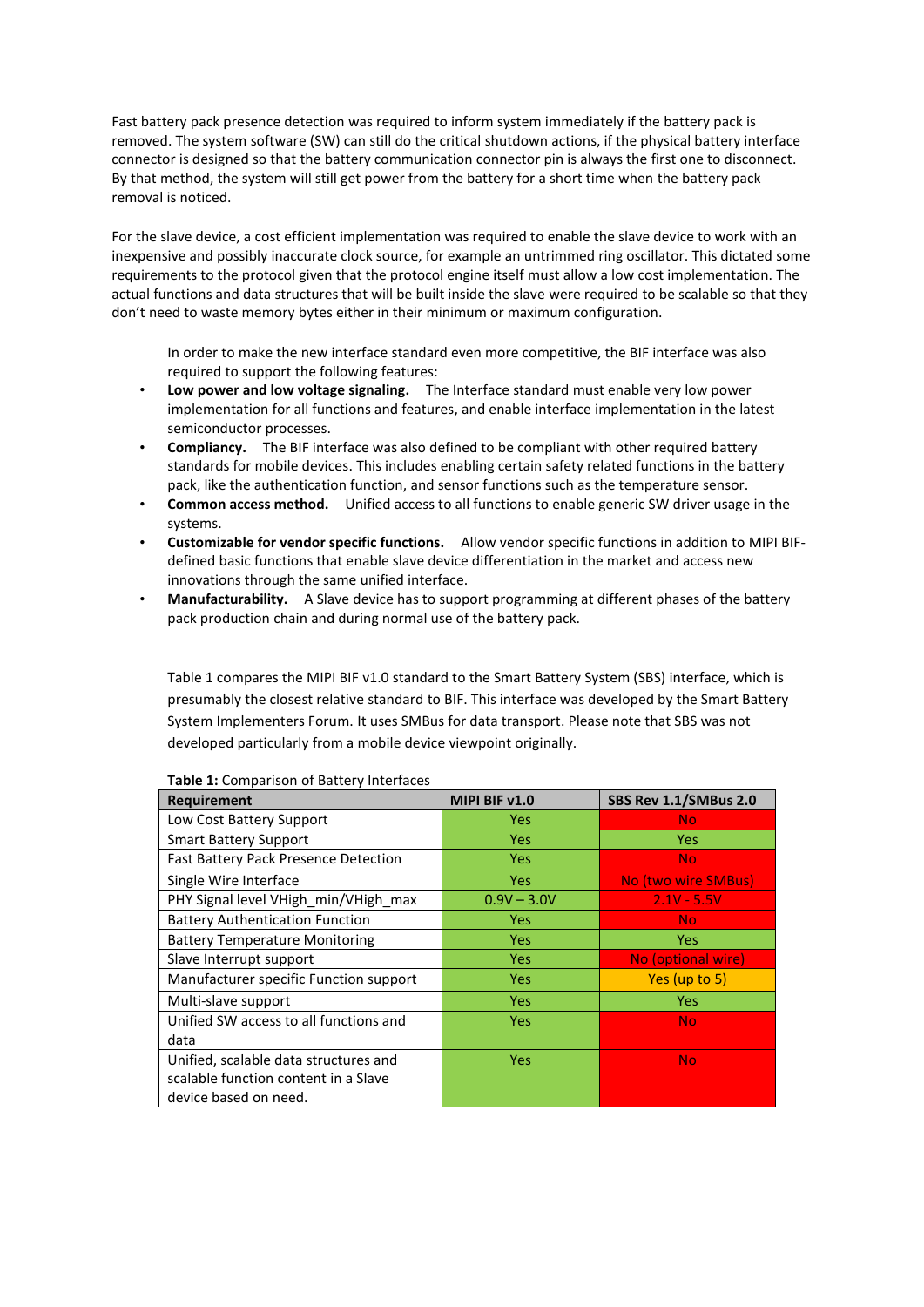Fast battery pack presence detection was required to inform system immediately if the battery pack is removed. The system software (SW) can still do the critical shutdown actions, if the physical battery interface connector is designed so that the battery communication connector pin is always the first one to disconnect. By that method, the system will still get power from the battery for a short time when the battery pack removal is noticed.

For the slave device, a cost efficient implementation was required to enable the slave device to work with an inexpensive and possibly inaccurate clock source, for example an untrimmed ring oscillator. This dictated some requirements to the protocol given that the protocol engine itself must allow a low cost implementation. The actual functions and data structures that will be built inside the slave were required to be scalable so that they don't need to waste memory bytes either in their minimum or maximum configuration.

In order to make the new interface standard even more competitive, the BIF interface was also required to support the following features:

- **Low power and low voltage signaling.** The Interface standard must enable very low power implementation for all functions and features, and enable interface implementation in the latest semiconductor processes.
- **Compliancy.** The BIF interface was also defined to be compliant with other required battery standards for mobile devices. This includes enabling certain safety related functions in the battery pack, like the authentication function, and sensor functions such as the temperature sensor.
- **Common access method.** Unified access to all functions to enable generic SW driver usage in the systems.
- **Customizable for vendor specific functions.** Allow vendor specific functions in addition to MIPI BIFdefined basic functions that enable slave device differentiation in the market and access new innovations through the same unified interface.
- **Manufacturability.** A Slave device has to support programming at different phases of the battery pack production chain and during normal use of the battery pack.

Table 1 compares the MIPI BIF v1.0 standard to the Smart Battery System (SBS) interface, which is presumably the closest relative standard to BIF. This interface was developed by the Smart Battery System Implementers Forum. It uses SMBus for data transport. Please note that SBS was not developed particularly from a mobile device viewpoint originally.

| <b>Requirement</b>                          | MIPI BIF v1.0 | SBS Rev 1.1/SMBus 2.0 |
|---------------------------------------------|---------------|-----------------------|
| Low Cost Battery Support                    | <b>Yes</b>    | <b>No</b>             |
| <b>Smart Battery Support</b>                | <b>Yes</b>    | Yes.                  |
| <b>Fast Battery Pack Presence Detection</b> | Yes           | <b>No</b>             |
| Single Wire Interface                       | <b>Yes</b>    | No (two wire SMBus)   |
| PHY Signal level VHigh_min/VHigh_max        | $0.9V - 3.0V$ | $2.1V - 5.5V$         |
| <b>Battery Authentication Function</b>      | <b>Yes</b>    | No                    |
| <b>Battery Temperature Monitoring</b>       | <b>Yes</b>    | <b>Yes</b>            |
| Slave Interrupt support                     | <b>Yes</b>    | No (optional wire)    |
| Manufacturer specific Function support      | <b>Yes</b>    | Yes (up to 5)         |
| Multi-slave support                         | <b>Yes</b>    | Yes.                  |
| Unified SW access to all functions and      | Yes           | <b>No</b>             |
| data                                        |               |                       |
| Unified, scalable data structures and       | <b>Yes</b>    | <b>No</b>             |
| scalable function content in a Slave        |               |                       |
| device based on need.                       |               |                       |

#### **Table 1:** Comparison of Battery Interfaces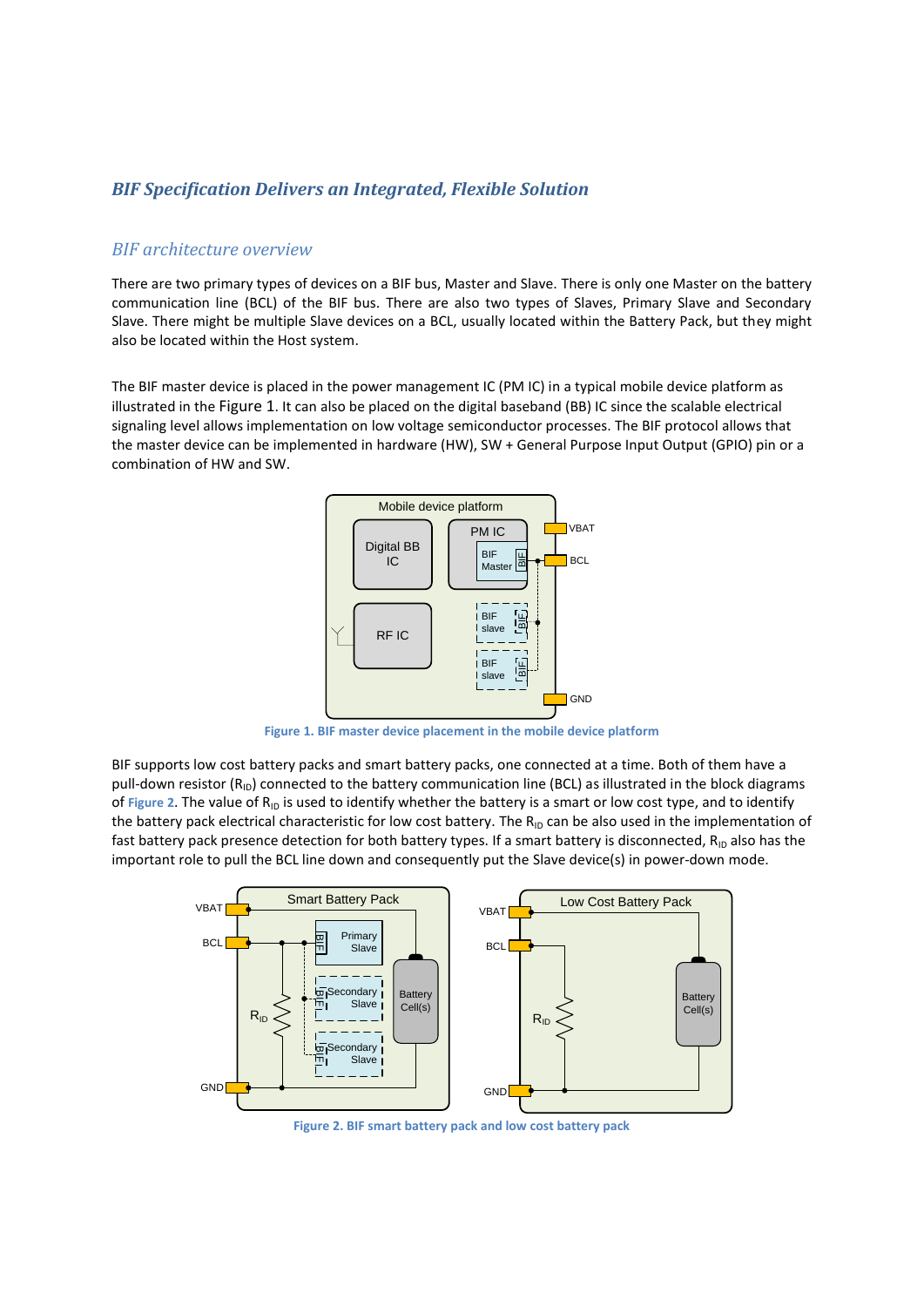### *BIF Specification Delivers an Integrated, Flexible Solution*

### *BIF architecture overview*

There are two primary types of devices on a BIF bus, Master and Slave. There is only one Master on the battery communication line (BCL) of the BIF bus. There are also two types of Slaves, Primary Slave and Secondary Slave. There might be multiple Slave devices on a BCL, usually located within the Battery Pack, but they might also be located within the Host system.

The BIF master device is placed in the power management IC (PM IC) in a typical mobile device platform as illustrated in the [Figure 1](#page-3-0). It can also be placed on the digital baseband (BB) IC since the scalable electrical signaling level allows implementation on low voltage semiconductor processes. The BIF protocol allows that the master device can be implemented in hardware (HW), SW + General Purpose Input Output (GPIO) pin or a combination of HW and SW.



**Figure 1. BIF master device placement in the mobile device platform**

<span id="page-3-0"></span>BIF supports low cost battery packs and smart battery packs, one connected at a time. Both of them have a pull-down resistor  $(R_{\text{ID}})$  connected to the battery communication line (BCL) as illustrated in the block diagrams of [Figure 2](#page-3-1). The value of R<sub>ID</sub> is used to identify whether the battery is a smart or low cost type, and to identify the battery pack electrical characteristic for low cost battery. The  $R_{1D}$  can be also used in the implementation of fast battery pack presence detection for both battery types. If a smart battery is disconnected,  $R_{ID}$  also has the important role to pull the BCL line down and consequently put the Slave device(s) in power-down mode.



<span id="page-3-1"></span>**Figure 2. BIF smart battery pack and low cost battery pack**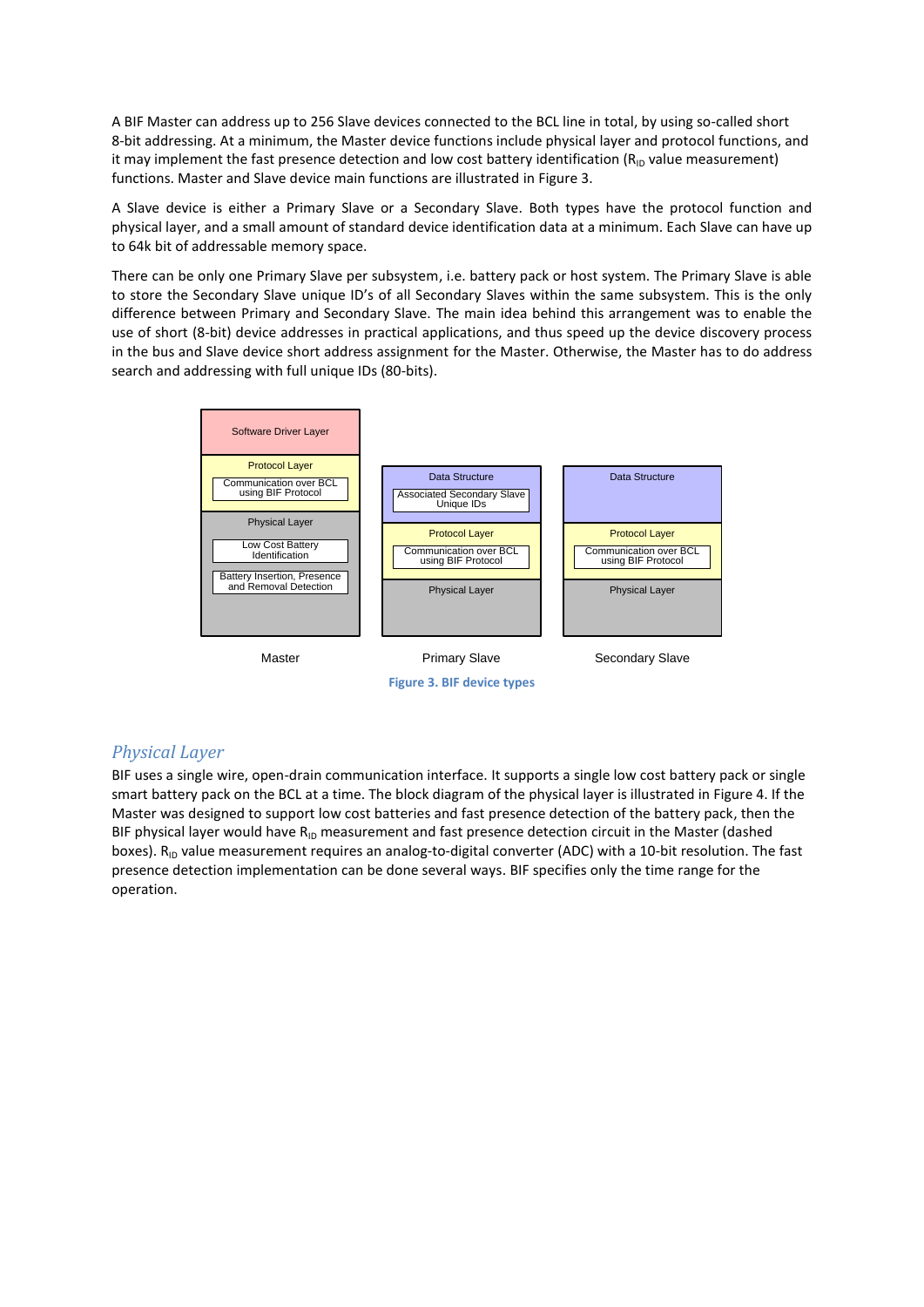A BIF Master can address up to 256 Slave devices connected to the BCL line in total, by using so-called short 8-bit addressing. At a minimum, the Master device functions include physical layer and protocol functions, and it may implement the fast presence detection and low cost battery identification  $(R<sub>ID</sub>$  value measurement) functions. Master and Slave device main functions are illustrated in [Figure 3.](#page-4-0)

A Slave device is either a Primary Slave or a Secondary Slave. Both types have the protocol function and physical layer, and a small amount of standard device identification data at a minimum. Each Slave can have up to 64k bit of addressable memory space.

There can be only one Primary Slave per subsystem, i.e. battery pack or host system. The Primary Slave is able to store the Secondary Slave unique ID's of all Secondary Slaves within the same subsystem. This is the only difference between Primary and Secondary Slave. The main idea behind this arrangement was to enable the use of short (8-bit) device addresses in practical applications, and thus speed up the device discovery process in the bus and Slave device short address assignment for the Master. Otherwise, the Master has to do address search and addressing with full unique IDs (80-bits).



### <span id="page-4-0"></span>*Physical Layer*

BIF uses a single wire, open-drain communication interface. It supports a single low cost battery pack or single smart battery pack on the BCL at a time. The block diagram of the physical layer is illustrated i[n Figure 4.](#page-5-0) If the Master was designed to support low cost batteries and fast presence detection of the battery pack, then the BIF physical layer would have  $R_{ID}$  measurement and fast presence detection circuit in the Master (dashed boxes).  $R_{ID}$  value measurement requires an analog-to-digital converter (ADC) with a 10-bit resolution. The fast presence detection implementation can be done several ways. BIF specifies only the time range for the operation.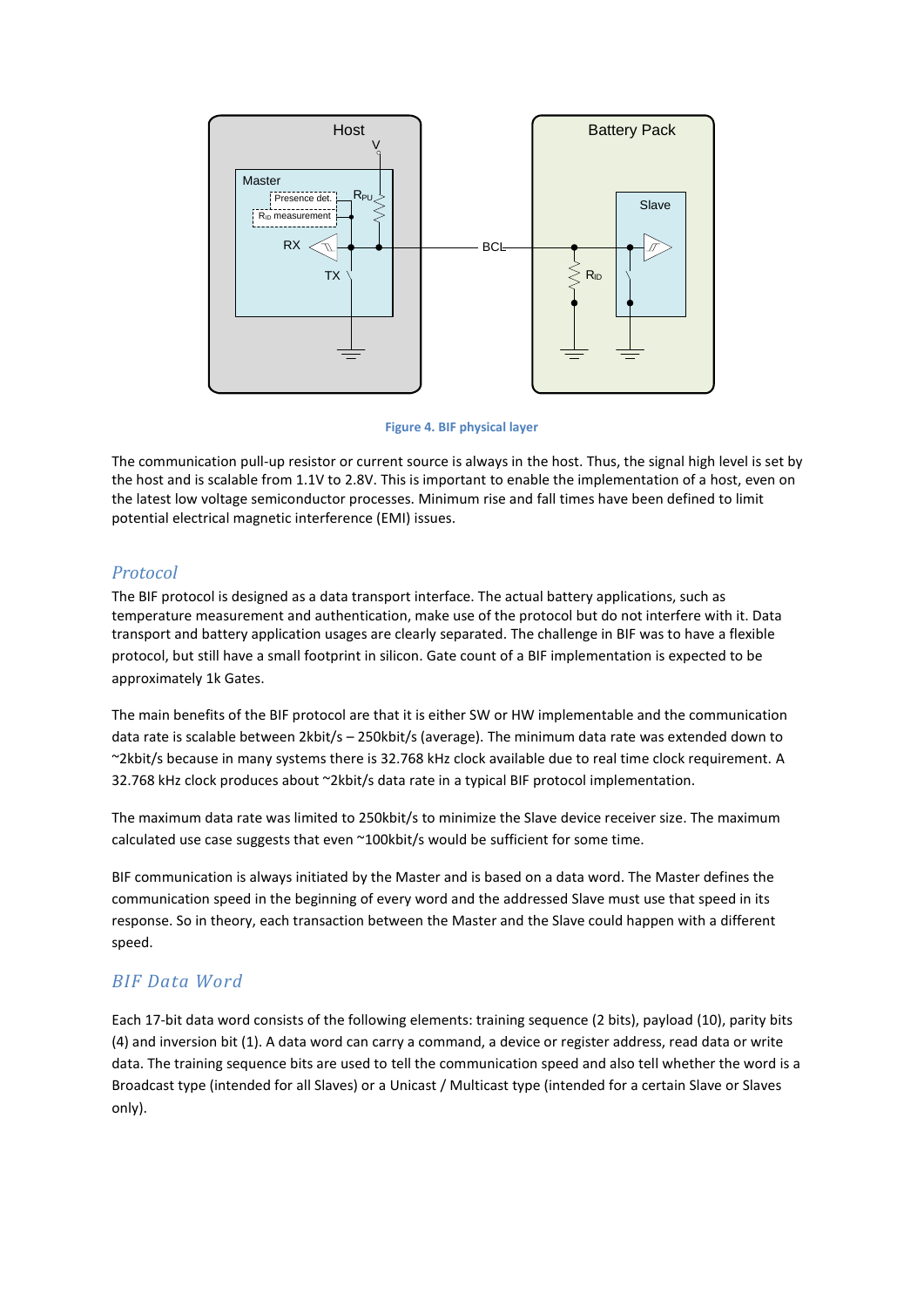

**Figure 4. BIF physical layer**

<span id="page-5-0"></span>The communication pull-up resistor or current source is always in the host. Thus, the signal high level is set by the host and is scalable from 1.1V to 2.8V. This is important to enable the implementation of a host, even on the latest low voltage semiconductor processes. Minimum rise and fall times have been defined to limit potential electrical magnetic interference (EMI) issues.

## *Protocol*

The BIF protocol is designed as a data transport interface. The actual battery applications, such as temperature measurement and authentication, make use of the protocol but do not interfere with it. Data transport and battery application usages are clearly separated. The challenge in BIF was to have a flexible protocol, but still have a small footprint in silicon. Gate count of a BIF implementation is expected to be approximately 1k Gates.

The main benefits of the BIF protocol are that it is either SW or HW implementable and the communication data rate is scalable between 2kbit/s – 250kbit/s (average). The minimum data rate was extended down to ~2kbit/s because in many systems there is 32.768 kHz clock available due to real time clock requirement. A 32.768 kHz clock produces about ~2kbit/s data rate in a typical BIF protocol implementation.

The maximum data rate was limited to 250kbit/s to minimize the Slave device receiver size. The maximum calculated use case suggests that even ~100kbit/s would be sufficient for some time.

BIF communication is always initiated by the Master and is based on a data word. The Master defines the communication speed in the beginning of every word and the addressed Slave must use that speed in its response. So in theory, each transaction between the Master and the Slave could happen with a different speed.

## *BIF Data Word*

Each 17-bit data word consists of the following elements: training sequence (2 bits), payload (10), parity bits (4) and inversion bit (1). A data word can carry a command, a device or register address, read data or write data. The training sequence bits are used to tell the communication speed and also tell whether the word is a Broadcast type (intended for all Slaves) or a Unicast / Multicast type (intended for a certain Slave or Slaves only).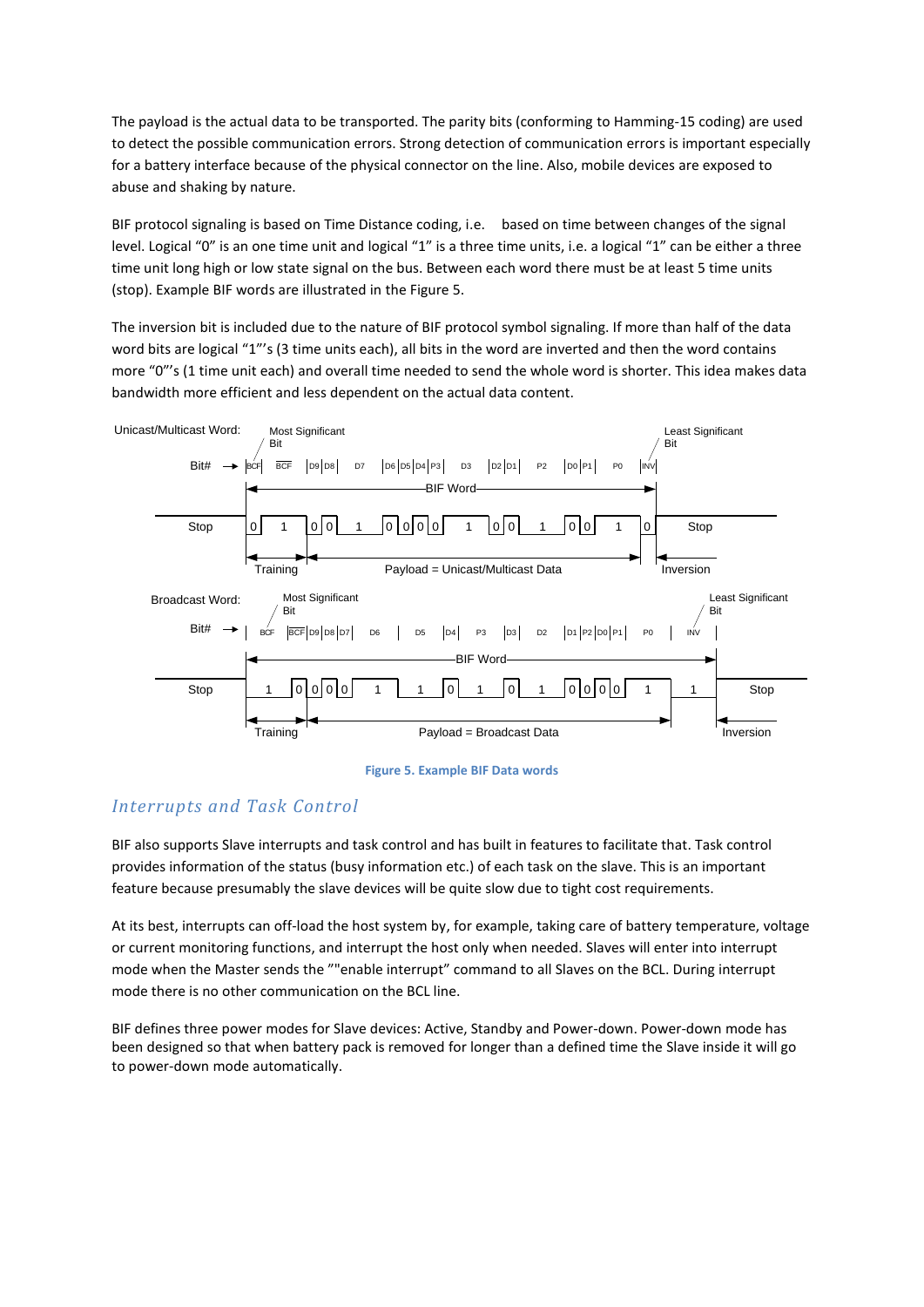The payload is the actual data to be transported. The parity bits (conforming to Hamming-15 coding) are used to detect the possible communication errors. Strong detection of communication errors is important especially for a battery interface because of the physical connector on the line. Also, mobile devices are exposed to abuse and shaking by nature.

BIF protocol signaling is based on Time Distance coding, i.e. based on time between changes of the signal level. Logical "0" is an one time unit and logical "1" is a three time units, i.e. a logical "1" can be either a three time unit long high or low state signal on the bus. Between each word there must be at least 5 time units (stop). Example BIF words are illustrated in th[e Figure 5.](#page-6-0)

The inversion bit is included due to the nature of BIF protocol symbol signaling. If more than half of the data word bits are logical "1"'s (3 time units each), all bits in the word are inverted and then the word contains more "0"'s (1 time unit each) and overall time needed to send the whole word is shorter. This idea makes data bandwidth more efficient and less dependent on the actual data content.





## <span id="page-6-0"></span>*Interrupts and Task Control*

BIF also supports Slave interrupts and task control and has built in features to facilitate that. Task control provides information of the status (busy information etc.) of each task on the slave. This is an important feature because presumably the slave devices will be quite slow due to tight cost requirements.

At its best, interrupts can off-load the host system by, for example, taking care of battery temperature, voltage or current monitoring functions, and interrupt the host only when needed. Slaves will enter into interrupt mode when the Master sends the ""enable interrupt" command to all Slaves on the BCL. During interrupt mode there is no other communication on the BCL line.

BIF defines three power modes for Slave devices: Active, Standby and Power-down. Power-down mode has been designed so that when battery pack is removed for longer than a defined time the Slave inside it will go to power-down mode automatically.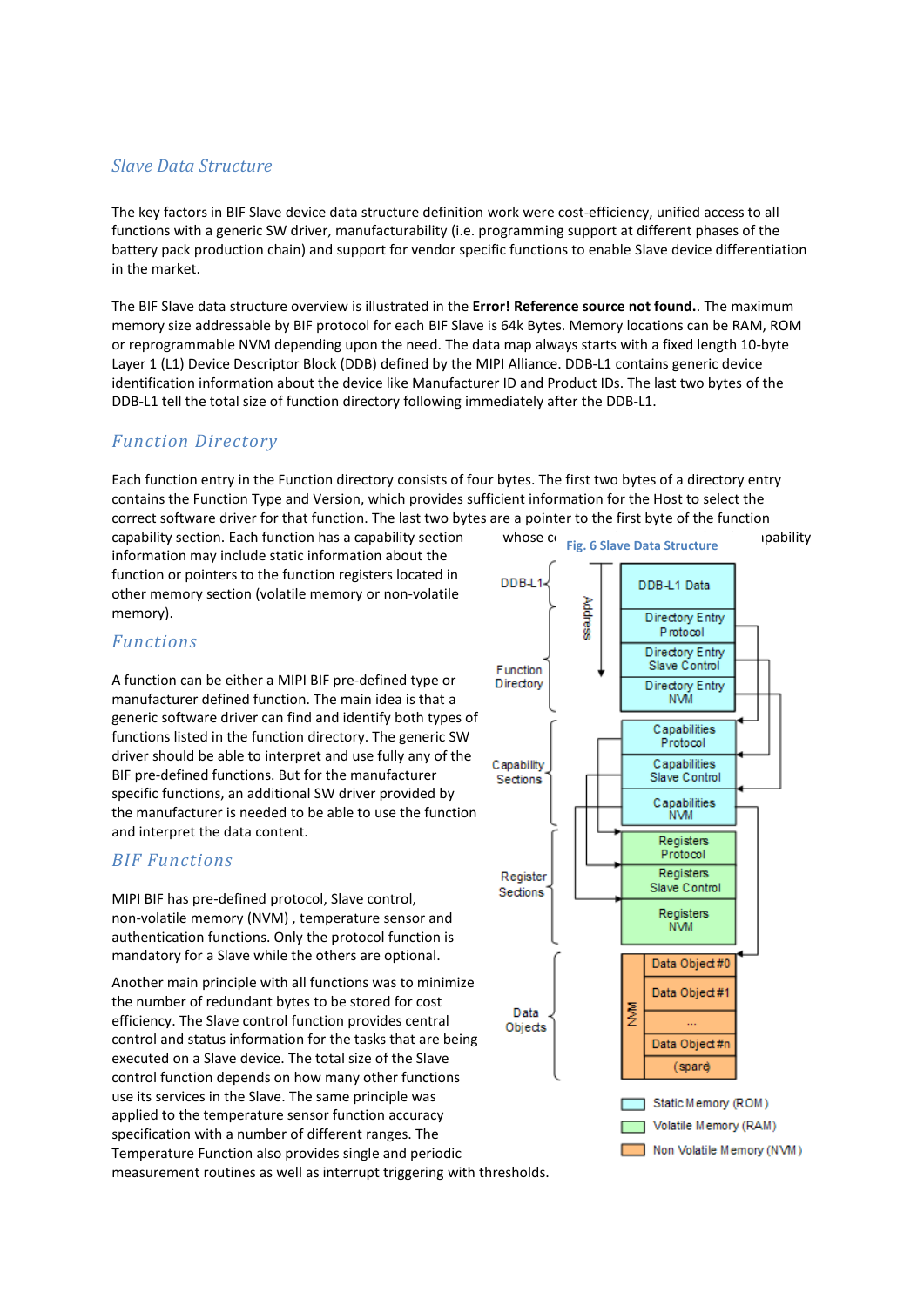### *Slave Data Structure*

The key factors in BIF Slave device data structure definition work were cost-efficiency, unified access to all functions with a generic SW driver, manufacturability (i.e. programming support at different phases of the battery pack production chain) and support for vendor specific functions to enable Slave device differentiation in the market.

The BIF Slave data structure overview is illustrated in the **Error! Reference source not found.**. The maximum memory size addressable by BIF protocol for each BIF Slave is 64k Bytes. Memory locations can be RAM, ROM or reprogrammable NVM depending upon the need. The data map always starts with a fixed length 10-byte Layer 1 (L1) Device Descriptor Block (DDB) defined by the MIPI Alliance. DDB-L1 contains generic device identification information about the device like Manufacturer ID and Product IDs. The last two bytes of the DDB-L1 tell the total size of function directory following immediately after the DDB-L1.

## *Function Directory*

Each function entry in the Function directory consists of four bytes. The first two bytes of a directory entry contains the Function Type and Version, which provides sufficient information for the Host to select the correct software driver for that function. The last two bytes are a pointer to the first byte of the function

capability section. Each function has a capability section whose content is fully specific. The capability information may include static information about the function or pointers to the function registers located in other memory section (volatile memory or non-volatile memory).

#### DDB-L DDB-L1 Data Address **Directory Entry** Protocol **Directory Entry** Slave Control Function Directon **Directory Entry NVM** Canabilities Protocol Capabilities Capability Sections Slave Control Capabilities **NVM** Registers Protocol Registers Register Slave Control Sections Registers **NVM** Data Object#0 Data Object#1 Data Objects Data Object#n (spare) Static Memory (ROM) Volatile Memory (RAM) Non Volatile Memory (NVM)

**Fig. 6 Slave Data Structure**

### *Functions*

A function can be either a MIPI BIF pre-defined type or manufacturer defined function. The main idea is that a generic software driver can find and identify both types of functions listed in the function directory. The generic SW driver should be able to interpret and use fully any of the BIF pre-defined functions. But for the manufacturer specific functions, an additional SW driver provided by the manufacturer is needed to be able to use the function and interpret the data content.

### *BIF Functions*

MIPI BIF has pre-defined protocol, Slave control, non-volatile memory (NVM) , temperature sensor and authentication functions. Only the protocol function is mandatory for a Slave while the others are optional.

Another main principle with all functions was to minimize the number of redundant bytes to be stored for cost efficiency. The Slave control function provides central control and status information for the tasks that are being executed on a Slave device. The total size of the Slave control function depends on how many other functions use its services in the Slave. The same principle was applied to the temperature sensor function accuracy specification with a number of different ranges. The Temperature Function also provides single and periodic measurement routines as well as interrupt triggering with thresholds.